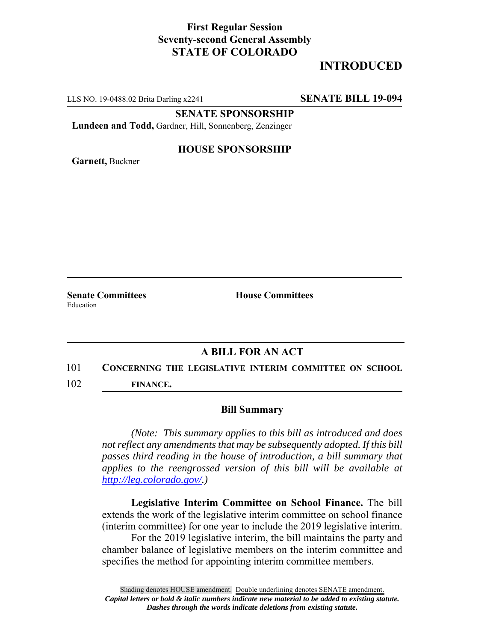# **First Regular Session Seventy-second General Assembly STATE OF COLORADO**

# **INTRODUCED**

LLS NO. 19-0488.02 Brita Darling x2241 **SENATE BILL 19-094**

**SENATE SPONSORSHIP**

**Lundeen and Todd,** Gardner, Hill, Sonnenberg, Zenzinger

**Garnett,** Buckner

#### **HOUSE SPONSORSHIP**

**Senate Committees House Committees** Education

### **A BILL FOR AN ACT**

#### 101 **CONCERNING THE LEGISLATIVE INTERIM COMMITTEE ON SCHOOL**

102 **FINANCE.**

#### **Bill Summary**

*(Note: This summary applies to this bill as introduced and does not reflect any amendments that may be subsequently adopted. If this bill passes third reading in the house of introduction, a bill summary that applies to the reengrossed version of this bill will be available at http://leg.colorado.gov/.)*

**Legislative Interim Committee on School Finance.** The bill extends the work of the legislative interim committee on school finance (interim committee) for one year to include the 2019 legislative interim.

For the 2019 legislative interim, the bill maintains the party and chamber balance of legislative members on the interim committee and specifies the method for appointing interim committee members.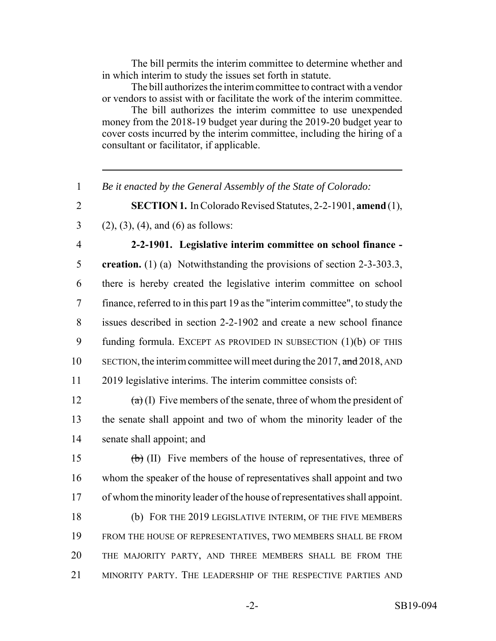The bill permits the interim committee to determine whether and in which interim to study the issues set forth in statute.

The bill authorizes the interim committee to contract with a vendor or vendors to assist with or facilitate the work of the interim committee.

The bill authorizes the interim committee to use unexpended money from the 2018-19 budget year during the 2019-20 budget year to cover costs incurred by the interim committee, including the hiring of a consultant or facilitator, if applicable.

- 1 *Be it enacted by the General Assembly of the State of Colorado:*
- 2 **SECTION 1.** In Colorado Revised Statutes, 2-2-1901, **amend** (1),
- 3 (2), (3), (4), and (6) as follows:
- 

## 4 **2-2-1901. Legislative interim committee on school finance -**

 **creation.** (1) (a) Notwithstanding the provisions of section 2-3-303.3, there is hereby created the legislative interim committee on school finance, referred to in this part 19 as the "interim committee", to study the issues described in section 2-2-1902 and create a new school finance 9 funding formula. EXCEPT AS PROVIDED IN SUBSECTION (1)(b) OF THIS 10 SECTION, the interim committee will meet during the 2017, and 2018, AND 2019 legislative interims. The interim committee consists of:

12  $(a)(I)$  Five members of the senate, three of whom the president of 13 the senate shall appoint and two of whom the minority leader of the 14 senate shall appoint; and

 $(b)$  (II) Five members of the house of representatives, three of whom the speaker of the house of representatives shall appoint and two of whom the minority leader of the house of representatives shall appoint. (b) FOR THE 2019 LEGISLATIVE INTERIM, OF THE FIVE MEMBERS FROM THE HOUSE OF REPRESENTATIVES, TWO MEMBERS SHALL BE FROM THE MAJORITY PARTY, AND THREE MEMBERS SHALL BE FROM THE MINORITY PARTY. THE LEADERSHIP OF THE RESPECTIVE PARTIES AND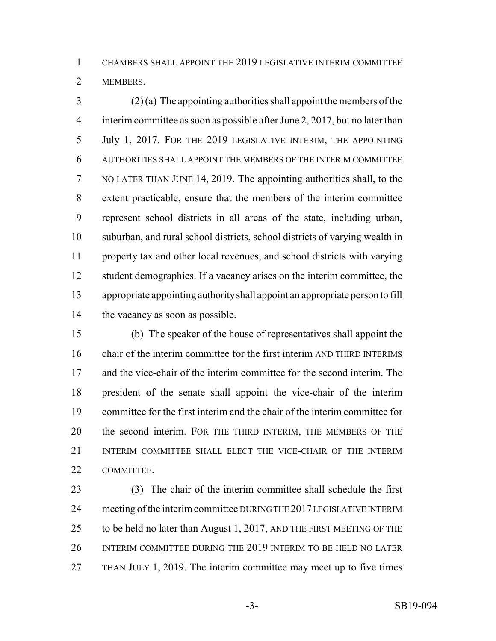CHAMBERS SHALL APPOINT THE 2019 LEGISLATIVE INTERIM COMMITTEE MEMBERS.

 (2) (a) The appointing authorities shall appoint the members of the interim committee as soon as possible after June 2, 2017, but no later than July 1, 2017. FOR THE 2019 LEGISLATIVE INTERIM, THE APPOINTING AUTHORITIES SHALL APPOINT THE MEMBERS OF THE INTERIM COMMITTEE NO LATER THAN JUNE 14, 2019. The appointing authorities shall, to the extent practicable, ensure that the members of the interim committee represent school districts in all areas of the state, including urban, suburban, and rural school districts, school districts of varying wealth in property tax and other local revenues, and school districts with varying student demographics. If a vacancy arises on the interim committee, the appropriate appointing authority shall appoint an appropriate person to fill 14 the vacancy as soon as possible.

 (b) The speaker of the house of representatives shall appoint the 16 chair of the interim committee for the first interim AND THIRD INTERIMS and the vice-chair of the interim committee for the second interim. The president of the senate shall appoint the vice-chair of the interim committee for the first interim and the chair of the interim committee for 20 the second interim. FOR THE THIRD INTERIM, THE MEMBERS OF THE 21 INTERIM COMMITTEE SHALL ELECT THE VICE-CHAIR OF THE INTERIM COMMITTEE.

 (3) The chair of the interim committee shall schedule the first 24 meeting of the interim committee DURING THE 2017 LEGISLATIVE INTERIM 25 to be held no later than August 1, 2017, AND THE FIRST MEETING OF THE INTERIM COMMITTEE DURING THE 2019 INTERIM TO BE HELD NO LATER THAN JULY 1, 2019. The interim committee may meet up to five times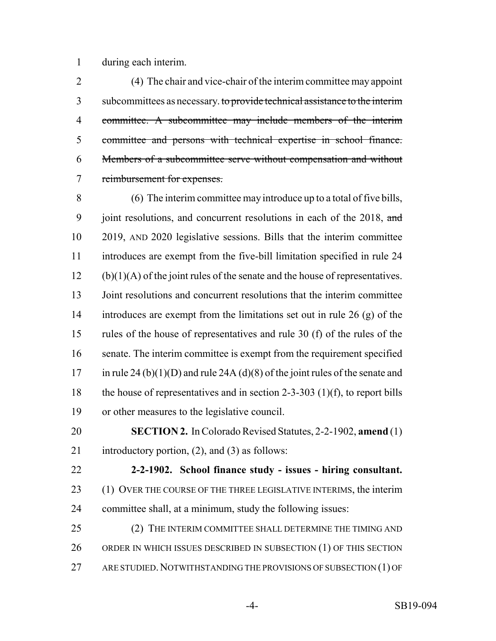during each interim.

 (4) The chair and vice-chair of the interim committee may appoint 3 subcommittees as necessary. to provide technical assistance to the interim committee. A subcommittee may include members of the interim committee and persons with technical expertise in school finance. Members of a subcommittee serve without compensation and without reimbursement for expenses.

 (6) The interim committee may introduce up to a total of five bills, 9 joint resolutions, and concurrent resolutions in each of the 2018, and 2019, AND 2020 legislative sessions. Bills that the interim committee introduces are exempt from the five-bill limitation specified in rule 24 (b)(1)(A) of the joint rules of the senate and the house of representatives. Joint resolutions and concurrent resolutions that the interim committee introduces are exempt from the limitations set out in rule 26 (g) of the rules of the house of representatives and rule 30 (f) of the rules of the senate. The interim committee is exempt from the requirement specified 17 in rule 24 (b)(1)(D) and rule 24A (d)(8) of the joint rules of the senate and the house of representatives and in section 2-3-303 (1)(f), to report bills or other measures to the legislative council.

 **SECTION 2.** In Colorado Revised Statutes, 2-2-1902, **amend** (1) introductory portion, (2), and (3) as follows:

# **2-2-1902. School finance study - issues - hiring consultant.** 23 (1) OVER THE COURSE OF THE THREE LEGISLATIVE INTERIMS, the interim

- committee shall, at a minimum, study the following issues:
- 25 (2) THE INTERIM COMMITTEE SHALL DETERMINE THE TIMING AND 26 ORDER IN WHICH ISSUES DESCRIBED IN SUBSECTION (1) OF THIS SECTION 27 ARE STUDIED. NOTWITHSTANDING THE PROVISIONS OF SUBSECTION (1) OF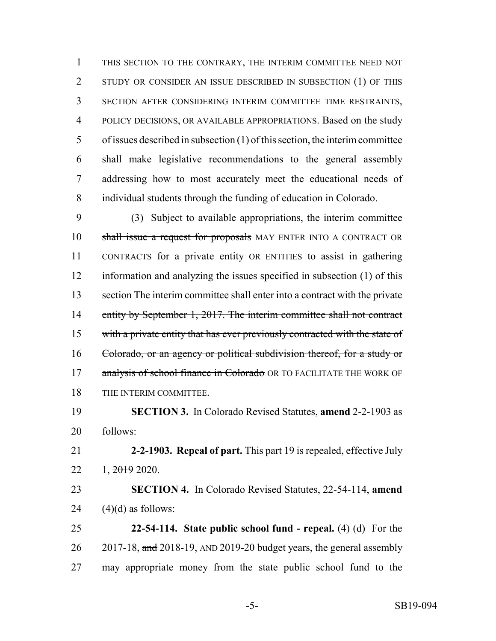THIS SECTION TO THE CONTRARY, THE INTERIM COMMITTEE NEED NOT 2 STUDY OR CONSIDER AN ISSUE DESCRIBED IN SUBSECTION (1) OF THIS SECTION AFTER CONSIDERING INTERIM COMMITTEE TIME RESTRAINTS, POLICY DECISIONS, OR AVAILABLE APPROPRIATIONS. Based on the study of issues described in subsection (1) of this section, the interim committee shall make legislative recommendations to the general assembly addressing how to most accurately meet the educational needs of individual students through the funding of education in Colorado.

 (3) Subject to available appropriations, the interim committee 10 shall issue a request for proposals MAY ENTER INTO A CONTRACT OR CONTRACTS for a private entity OR ENTITIES to assist in gathering information and analyzing the issues specified in subsection (1) of this 13 section The interim committee shall enter into a contract with the private 14 entity by September 1, 2017. The interim committee shall not contract 15 with a private entity that has ever previously contracted with the state of Colorado, or an agency or political subdivision thereof, for a study or 17 analysis of school finance in Colorado OR TO FACILITATE THE WORK OF THE INTERIM COMMITTEE.

 **SECTION 3.** In Colorado Revised Statutes, **amend** 2-2-1903 as follows:

 **2-2-1903. Repeal of part.** This part 19 is repealed, effective July  $22 \quad 1, \frac{2019}{2020}.$ 

 **SECTION 4.** In Colorado Revised Statutes, 22-54-114, **amend** 24  $(4)(d)$  as follows:

 **22-54-114. State public school fund - repeal.** (4) (d) For the 26 2017-18, and 2018-19, AND 2019-20 budget years, the general assembly may appropriate money from the state public school fund to the